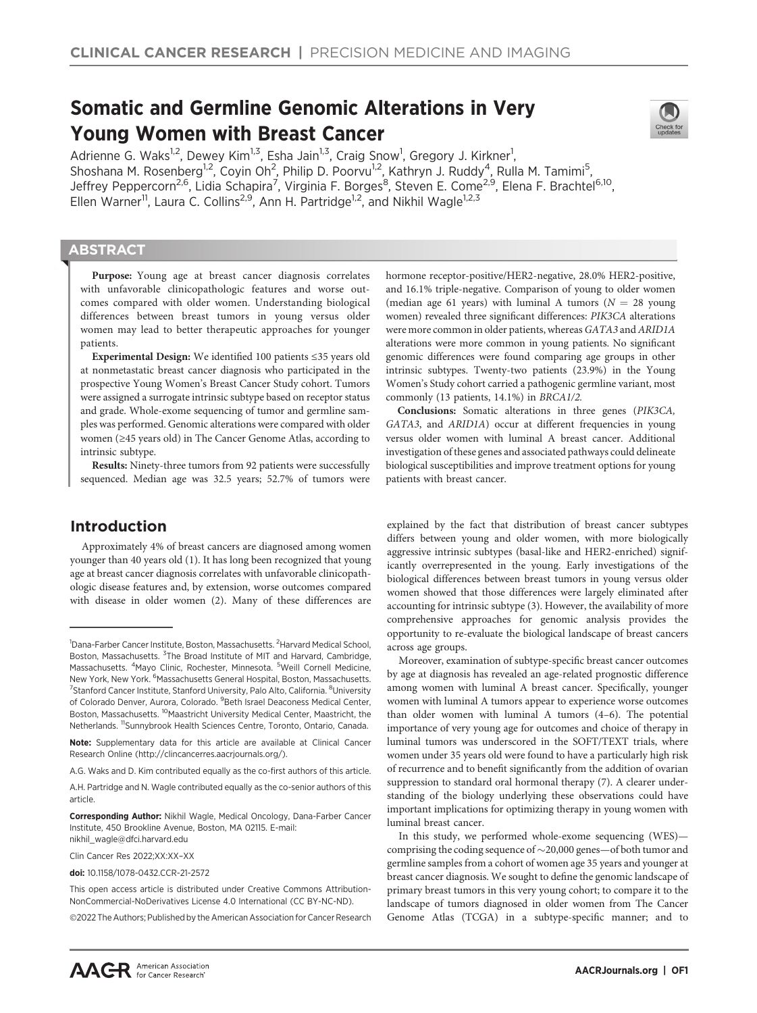# Somatic and Germline Genomic Alterations in Very Young Women with Breast Cancer

Adrienne G. Waks<sup>1,2</sup>, Dewey Kim<sup>1,3</sup>, Esha Jain<sup>1,3</sup>, Craig Snow<sup>1</sup>, Gregory J. Kirkner<sup>1</sup>, Shoshana M. Rosenberg<sup>1,2</sup>, Coyin Oh<sup>2</sup>, Philip D. Poorvu<sup>1,2</sup>, Kathryn J. Ruddy<sup>4</sup>, Rulla M. Tamimi<sup>5</sup>, Jeffrey Peppercorn<sup>2,6</sup>, Lidia Schapira<sup>7</sup>, Virginia F. Borges<sup>8</sup>, Steven E. Come<sup>2,9</sup>, Elena F. Brachtel<sup>6,10</sup>, Ellen Warner<sup>11</sup>, Laura C. Collins<sup>2,9</sup>, Ann H. Partridge<sup>1,2</sup>, and Nikhil Wagle<sup>1,2,3</sup>

# **ABSTRACT**

◥

Purpose: Young age at breast cancer diagnosis correlates with unfavorable clinicopathologic features and worse outcomes compared with older women. Understanding biological differences between breast tumors in young versus older women may lead to better therapeutic approaches for younger patients.

Experimental Design: We identified 100 patients ≤35 years old at nonmetastatic breast cancer diagnosis who participated in the prospective Young Women's Breast Cancer Study cohort. Tumors were assigned a surrogate intrinsic subtype based on receptor status and grade. Whole-exome sequencing of tumor and germline samples was performed. Genomic alterations were compared with older women (≥45 years old) in The Cancer Genome Atlas, according to intrinsic subtype.

Results: Ninety-three tumors from 92 patients were successfully sequenced. Median age was 32.5 years; 52.7% of tumors were

# Introduction

Approximately 4% of breast cancers are diagnosed among women younger than 40 years old (1). It has long been recognized that young age at breast cancer diagnosis correlates with unfavorable clinicopathologic disease features and, by extension, worse outcomes compared with disease in older women (2). Many of these differences are

Corresponding Author: Nikhil Wagle, Medical Oncology, Dana-Farber Cancer Institute, 450 Brookline Avenue, Boston, MA 02115. E-mail: nikhil\_wagle@dfci.harvard.edu

Clin Cancer Res 2022;XX:XX–XX

doi: 10.1158/1078-0432.CCR-21-2572

This open access article is distributed under Creative Commons Attribution-NonCommercial-NoDerivatives License 4.0 International (CC BY-NC-ND).

2022 The Authors; Published by the American Association for Cancer Research

hormone receptor-positive/HER2-negative, 28.0% HER2-positive, and 16.1% triple-negative. Comparison of young to older women (median age 61 years) with luminal A tumors ( $N = 28$  young women) revealed three significant differences: PIK3CA alterations were more common in older patients, whereas GATA3 and ARID1A alterations were more common in young patients. No significant genomic differences were found comparing age groups in other intrinsic subtypes. Twenty-two patients (23.9%) in the Young Women's Study cohort carried a pathogenic germline variant, most commonly (13 patients, 14.1%) in BRCA1/2.

Conclusions: Somatic alterations in three genes (PIK3CA, GATA3, and ARID1A) occur at different frequencies in young versus older women with luminal A breast cancer. Additional investigation of these genes and associated pathways could delineate biological susceptibilities and improve treatment options for young patients with breast cancer.

explained by the fact that distribution of breast cancer subtypes differs between young and older women, with more biologically aggressive intrinsic subtypes (basal-like and HER2-enriched) significantly overrepresented in the young. Early investigations of the biological differences between breast tumors in young versus older women showed that those differences were largely eliminated after accounting for intrinsic subtype (3). However, the availability of more comprehensive approaches for genomic analysis provides the opportunity to re-evaluate the biological landscape of breast cancers across age groups.

Moreover, examination of subtype-specific breast cancer outcomes by age at diagnosis has revealed an age-related prognostic difference among women with luminal A breast cancer. Specifically, younger women with luminal A tumors appear to experience worse outcomes than older women with luminal A tumors (4–6). The potential importance of very young age for outcomes and choice of therapy in luminal tumors was underscored in the SOFT/TEXT trials, where women under 35 years old were found to have a particularly high risk of recurrence and to benefit significantly from the addition of ovarian suppression to standard oral hormonal therapy (7). A clearer understanding of the biology underlying these observations could have important implications for optimizing therapy in young women with luminal breast cancer.

In this study, we performed whole-exome sequencing (WES) comprising the coding sequence of  $\sim$  20,000 genes—of both tumor and germline samples from a cohort of women age 35 years and younger at breast cancer diagnosis. We sought to define the genomic landscape of primary breast tumors in this very young cohort; to compare it to the landscape of tumors diagnosed in older women from The Cancer Genome Atlas (TCGA) in a subtype-specific manner; and to



<sup>&</sup>lt;sup>1</sup>Dana-Farber Cancer Institute, Boston, Massachusetts. <sup>2</sup>Harvard Medical School, Boston, Massachusetts. <sup>3</sup>The Broad Institute of MIT and Harvard, Cambridge, Massachusetts. <sup>4</sup>Mayo Clinic, Rochester, Minnesota. <sup>5</sup>Weill Cornell Medicine, New York, New York. <sup>6</sup>Massachusetts General Hospital, Boston, Massachusetts. <sup>7</sup> Stanford Cancer Institute, Stanford University, Palo Alto, California. <sup>8</sup> University of Colorado Denver, Aurora, Colorado. <sup>9</sup> Beth Israel Deaconess Medical Center, Boston, Massachusetts. 10Maastricht University Medical Center, Maastricht, the Netherlands. <sup>11</sup>Sunnybrook Health Sciences Centre, Toronto, Ontario, Canada.

Note: Supplementary data for this article are available at Clinical Cancer Research Online (http://clincancerres.aacrjournals.org/).

A.G. Waks and D. Kim contributed equally as the co-first authors of this article.

A.H. Partridge and N. Wagle contributed equally as the co-senior authors of this article.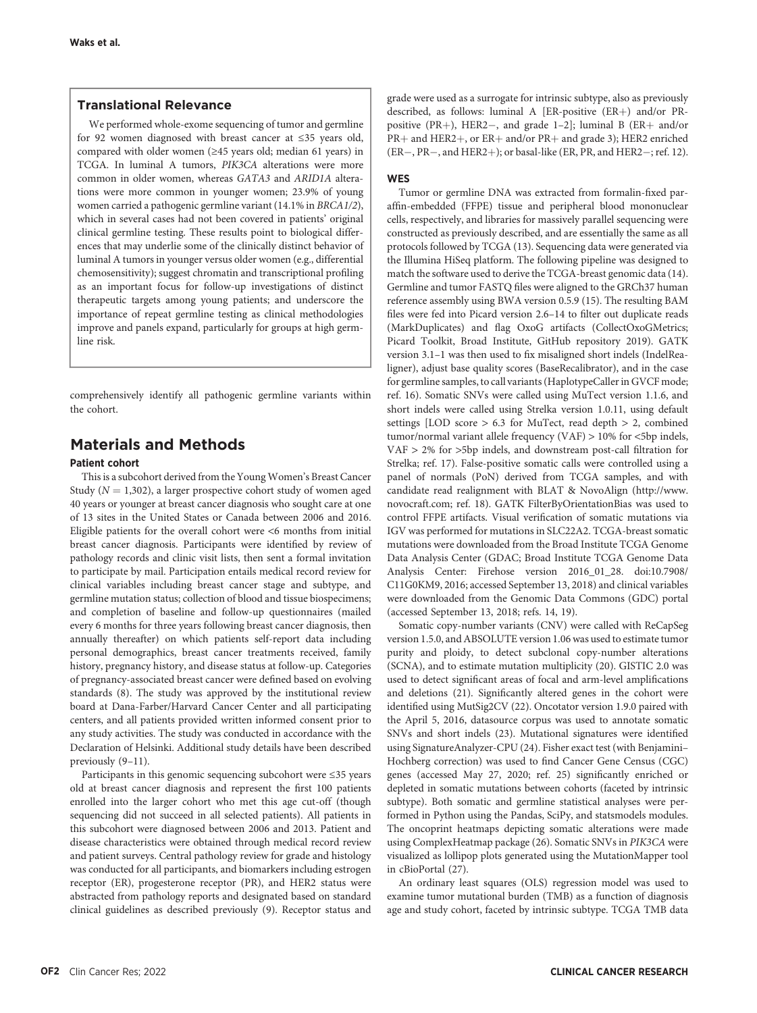# Translational Relevance

We performed whole-exome sequencing of tumor and germline for 92 women diagnosed with breast cancer at ≤35 years old, compared with older women (≥45 years old; median 61 years) in TCGA. In luminal A tumors, PIK3CA alterations were more common in older women, whereas GATA3 and ARID1A alterations were more common in younger women; 23.9% of young women carried a pathogenic germline variant (14.1% in BRCA1/2), which in several cases had not been covered in patients' original clinical germline testing. These results point to biological differences that may underlie some of the clinically distinct behavior of luminal A tumors in younger versus older women (e.g., differential chemosensitivity); suggest chromatin and transcriptional profiling as an important focus for follow-up investigations of distinct therapeutic targets among young patients; and underscore the importance of repeat germline testing as clinical methodologies improve and panels expand, particularly for groups at high germline risk.

comprehensively identify all pathogenic germline variants within the cohort.

# Materials and Methods

### Patient cohort

This is a subcohort derived from the Young Women's Breast Cancer Study ( $N = 1,302$ ), a larger prospective cohort study of women aged 40 years or younger at breast cancer diagnosis who sought care at one of 13 sites in the United States or Canada between 2006 and 2016. Eligible patients for the overall cohort were <6 months from initial breast cancer diagnosis. Participants were identified by review of pathology records and clinic visit lists, then sent a formal invitation to participate by mail. Participation entails medical record review for clinical variables including breast cancer stage and subtype, and germline mutation status; collection of blood and tissue biospecimens; and completion of baseline and follow-up questionnaires (mailed every 6 months for three years following breast cancer diagnosis, then annually thereafter) on which patients self-report data including personal demographics, breast cancer treatments received, family history, pregnancy history, and disease status at follow-up. Categories of pregnancy-associated breast cancer were defined based on evolving standards (8). The study was approved by the institutional review board at Dana-Farber/Harvard Cancer Center and all participating centers, and all patients provided written informed consent prior to any study activities. The study was conducted in accordance with the Declaration of Helsinki. Additional study details have been described previously (9–11).

Participants in this genomic sequencing subcohort were ≤35 years old at breast cancer diagnosis and represent the first 100 patients enrolled into the larger cohort who met this age cut-off (though sequencing did not succeed in all selected patients). All patients in this subcohort were diagnosed between 2006 and 2013. Patient and disease characteristics were obtained through medical record review and patient surveys. Central pathology review for grade and histology was conducted for all participants, and biomarkers including estrogen receptor (ER), progesterone receptor (PR), and HER2 status were abstracted from pathology reports and designated based on standard clinical guidelines as described previously (9). Receptor status and grade were used as a surrogate for intrinsic subtype, also as previously described, as follows: luminal A [ER-positive (ER+) and/or PRpositive (PR+), HER2-, and grade 1-2]; luminal B (ER+ and/or  $PR+$  and HER2+, or  $ER+$  and/or  $PR+$  and grade 3); HER2 enriched  $(ER-, PR-, and HER2+)$ ; or basal-like (ER, PR, and HER2-; ref. 12).

#### **WES**

Tumor or germline DNA was extracted from formalin-fixed paraffin-embedded (FFPE) tissue and peripheral blood mononuclear cells, respectively, and libraries for massively parallel sequencing were constructed as previously described, and are essentially the same as all protocols followed by TCGA (13). Sequencing data were generated via the Illumina HiSeq platform. The following pipeline was designed to match the software used to derive the TCGA-breast genomic data (14). Germline and tumor FASTQ files were aligned to the GRCh37 human reference assembly using BWA version 0.5.9 (15). The resulting BAM files were fed into Picard version 2.6–14 to filter out duplicate reads (MarkDuplicates) and flag OxoG artifacts (CollectOxoGMetrics; Picard Toolkit, Broad Institute, GitHub repository 2019). GATK version 3.1–1 was then used to fix misaligned short indels (IndelRealigner), adjust base quality scores (BaseRecalibrator), and in the case for germline samples, to call variants (HaplotypeCaller in GVCF mode; ref. 16). Somatic SNVs were called using MuTect version 1.1.6, and short indels were called using Strelka version 1.0.11, using default settings [LOD score > 6.3 for MuTect, read depth > 2, combined tumor/normal variant allele frequency (VAF) > 10% for <5bp indels, VAF > 2% for >5bp indels, and downstream post-call filtration for Strelka; ref. 17). False-positive somatic calls were controlled using a panel of normals (PoN) derived from TCGA samples, and with candidate read realignment with BLAT & NovoAlign ([http://www.](http://www.novocraft.com) [novocraft.com;](http://www.novocraft.com) ref. 18). GATK FilterByOrientationBias was used to control FFPE artifacts. Visual verification of somatic mutations via IGV was performed for mutations in SLC22A2. TCGA-breast somatic mutations were downloaded from the Broad Institute TCGA Genome Data Analysis Center (GDAC; Broad Institute TCGA Genome Data Analysis Center: Firehose version 2016\_01\_28. doi:10.7908/ C11G0KM9, 2016; accessed September 13, 2018) and clinical variables were downloaded from the Genomic Data Commons (GDC) portal (accessed September 13, 2018; refs. 14, 19).

Somatic copy-number variants (CNV) were called with ReCapSeg version 1.5.0, and ABSOLUTE version 1.06 was used to estimate tumor purity and ploidy, to detect subclonal copy-number alterations (SCNA), and to estimate mutation multiplicity (20). GISTIC 2.0 was used to detect significant areas of focal and arm-level amplifications and deletions (21). Significantly altered genes in the cohort were identified using MutSig2CV (22). Oncotator version 1.9.0 paired with the April 5, 2016, datasource corpus was used to annotate somatic SNVs and short indels (23). Mutational signatures were identified using SignatureAnalyzer-CPU (24). Fisher exact test (with Benjamini– Hochberg correction) was used to find Cancer Gene Census (CGC) genes (accessed May 27, 2020; ref. 25) significantly enriched or depleted in somatic mutations between cohorts (faceted by intrinsic subtype). Both somatic and germline statistical analyses were performed in Python using the Pandas, SciPy, and statsmodels modules. The oncoprint heatmaps depicting somatic alterations were made using ComplexHeatmap package (26). Somatic SNVs in PIK3CA were visualized as lollipop plots generated using the MutationMapper tool in cBioPortal (27).

An ordinary least squares (OLS) regression model was used to examine tumor mutational burden (TMB) as a function of diagnosis age and study cohort, faceted by intrinsic subtype. TCGA TMB data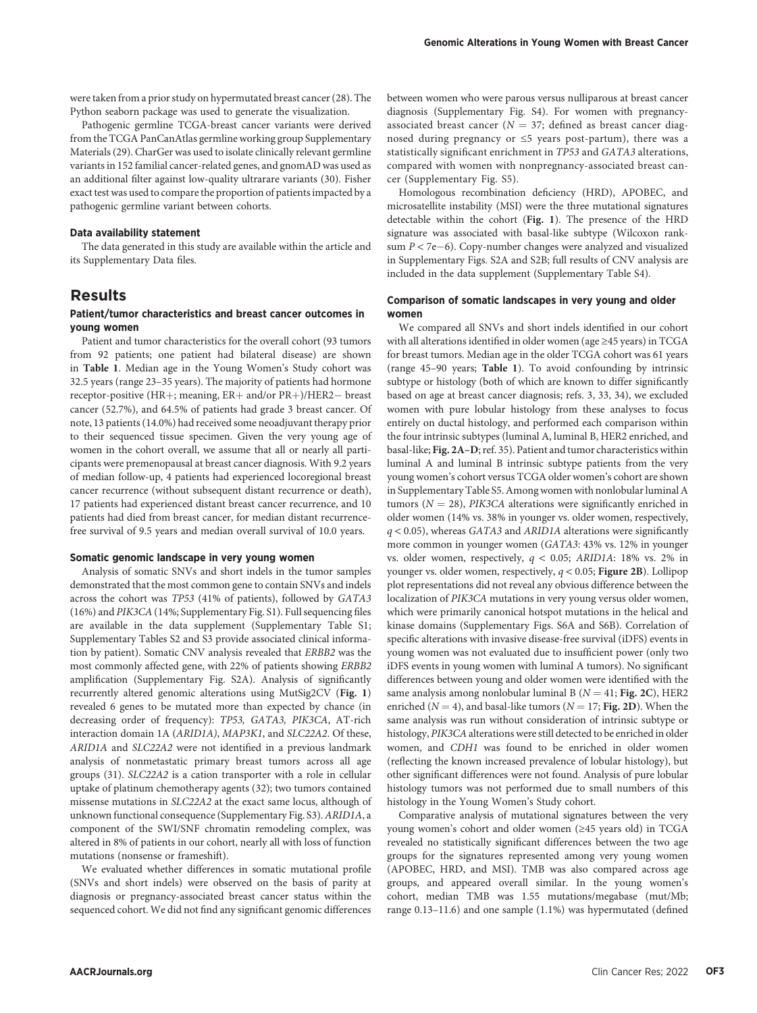were taken from a prior study on hypermutated breast cancer (28). The Python seaborn package was used to generate the visualization.

Pathogenic germline TCGA-breast cancer variants were derived from the TCGA PanCanAtlas germline working group Supplementary Materials (29). CharGer was used to isolate clinically relevant germline variants in 152 familial cancer-related genes, and gnomAD was used as an additional filter against low-quality ultrarare variants (30). Fisher exact test was used to compare the proportion of patients impacted by a pathogenic germline variant between cohorts.

# Data availability statement

The data generated in this study are available within the article and its Supplementary Data files.

# Results

### Patient/tumor characteristics and breast cancer outcomes in young women

Patient and tumor characteristics for the overall cohort (93 tumors from 92 patients; one patient had bilateral disease) are shown in Table 1. Median age in the Young Women's Study cohort was 32.5 years (range 23–35 years). The majority of patients had hormone receptor-positive (HR+; meaning,  $ER+$  and/or  $PR+$ )/HER2- breast cancer (52.7%), and 64.5% of patients had grade 3 breast cancer. Of note, 13 patients (14.0%) had received some neoadjuvant therapy prior to their sequenced tissue specimen. Given the very young age of women in the cohort overall, we assume that all or nearly all participants were premenopausal at breast cancer diagnosis. With 9.2 years of median follow-up, 4 patients had experienced locoregional breast cancer recurrence (without subsequent distant recurrence or death), 17 patients had experienced distant breast cancer recurrence, and 10 patients had died from breast cancer, for median distant recurrencefree survival of 9.5 years and median overall survival of 10.0 years.

#### Somatic genomic landscape in very young women

Analysis of somatic SNVs and short indels in the tumor samples demonstrated that the most common gene to contain SNVs and indels across the cohort was TP53 (41% of patients), followed by GATA3 (16%) and PIK3CA (14%; Supplementary Fig. S1). Full sequencing files are available in the data supplement (Supplementary Table S1; Supplementary Tables S2 and S3 provide associated clinical information by patient). Somatic CNV analysis revealed that ERBB2 was the most commonly affected gene, with 22% of patients showing ERBB2 amplification (Supplementary Fig. S2A). Analysis of significantly recurrently altered genomic alterations using MutSig2CV (Fig. 1) revealed 6 genes to be mutated more than expected by chance (in decreasing order of frequency): TP53, GATA3, PIK3CA, AT-rich interaction domain 1A (ARID1A), MAP3K1, and SLC22A2. Of these, ARID1A and SLC22A2 were not identified in a previous landmark analysis of nonmetastatic primary breast tumors across all age groups (31). SLC22A2 is a cation transporter with a role in cellular uptake of platinum chemotherapy agents (32); two tumors contained missense mutations in SLC22A2 at the exact same locus, although of unknown functional consequence (Supplementary Fig. S3). ARID1A, a component of the SWI/SNF chromatin remodeling complex, was altered in 8% of patients in our cohort, nearly all with loss of function mutations (nonsense or frameshift).

We evaluated whether differences in somatic mutational profile (SNVs and short indels) were observed on the basis of parity at diagnosis or pregnancy-associated breast cancer status within the sequenced cohort. We did not find any significant genomic differences between women who were parous versus nulliparous at breast cancer diagnosis (Supplementary Fig. S4). For women with pregnancyassociated breast cancer ( $N = 37$ ; defined as breast cancer diagnosed during pregnancy or ≤5 years post-partum), there was a statistically significant enrichment in TP53 and GATA3 alterations, compared with women with nonpregnancy-associated breast cancer (Supplementary Fig. S5).

Homologous recombination deficiency (HRD), APOBEC, and microsatellite instability (MSI) were the three mutational signatures detectable within the cohort (Fig. 1). The presence of the HRD signature was associated with basal-like subtype (Wilcoxon ranksum  $P < 7e-6$ ). Copy-number changes were analyzed and visualized in Supplementary Figs. S2A and S2B; full results of CNV analysis are included in the data supplement (Supplementary Table S4).

### Comparison of somatic landscapes in very young and older women

We compared all SNVs and short indels identified in our cohort with all alterations identified in older women (age ≥45 years) in TCGA for breast tumors. Median age in the older TCGA cohort was 61 years (range 45–90 years; Table 1). To avoid confounding by intrinsic subtype or histology (both of which are known to differ significantly based on age at breast cancer diagnosis; refs. 3, 33, 34), we excluded women with pure lobular histology from these analyses to focus entirely on ductal histology, and performed each comparison within the four intrinsic subtypes (luminal A, luminal B, HER2 enriched, and basal-like; Fig. 2A–D; ref. 35). Patient and tumor characteristics within luminal A and luminal B intrinsic subtype patients from the very young women's cohort versus TCGA older women's cohort are shown in Supplementary Table S5. Among women with nonlobular luminal A tumors ( $N = 28$ ), PIK3CA alterations were significantly enriched in older women (14% vs. 38% in younger vs. older women, respectively, q < 0.05), whereas GATA3 and ARID1A alterations were significantly more common in younger women (GATA3: 43% vs. 12% in younger vs. older women, respectively, q < 0.05; ARID1A: 18% vs. 2% in younger vs. older women, respectively,  $q < 0.05$ ; Figure 2B). Lollipop plot representations did not reveal any obvious difference between the localization of PIK3CA mutations in very young versus older women, which were primarily canonical hotspot mutations in the helical and kinase domains (Supplementary Figs. S6A and S6B). Correlation of specific alterations with invasive disease-free survival (iDFS) events in young women was not evaluated due to insufficient power (only two iDFS events in young women with luminal A tumors). No significant differences between young and older women were identified with the same analysis among nonlobular luminal B ( $N = 41$ ; Fig. 2C), HER2 enriched ( $N = 4$ ), and basal-like tumors ( $N = 17$ ; Fig. 2D). When the same analysis was run without consideration of intrinsic subtype or histology, PIK3CA alterations were still detected to be enriched in older women, and CDH1 was found to be enriched in older women (reflecting the known increased prevalence of lobular histology), but other significant differences were not found. Analysis of pure lobular histology tumors was not performed due to small numbers of this histology in the Young Women's Study cohort.

Comparative analysis of mutational signatures between the very young women's cohort and older women (≥45 years old) in TCGA revealed no statistically significant differences between the two age groups for the signatures represented among very young women (APOBEC, HRD, and MSI). TMB was also compared across age groups, and appeared overall similar. In the young women's cohort, median TMB was 1.55 mutations/megabase (mut/Mb; range 0.13–11.6) and one sample (1.1%) was hypermutated (defined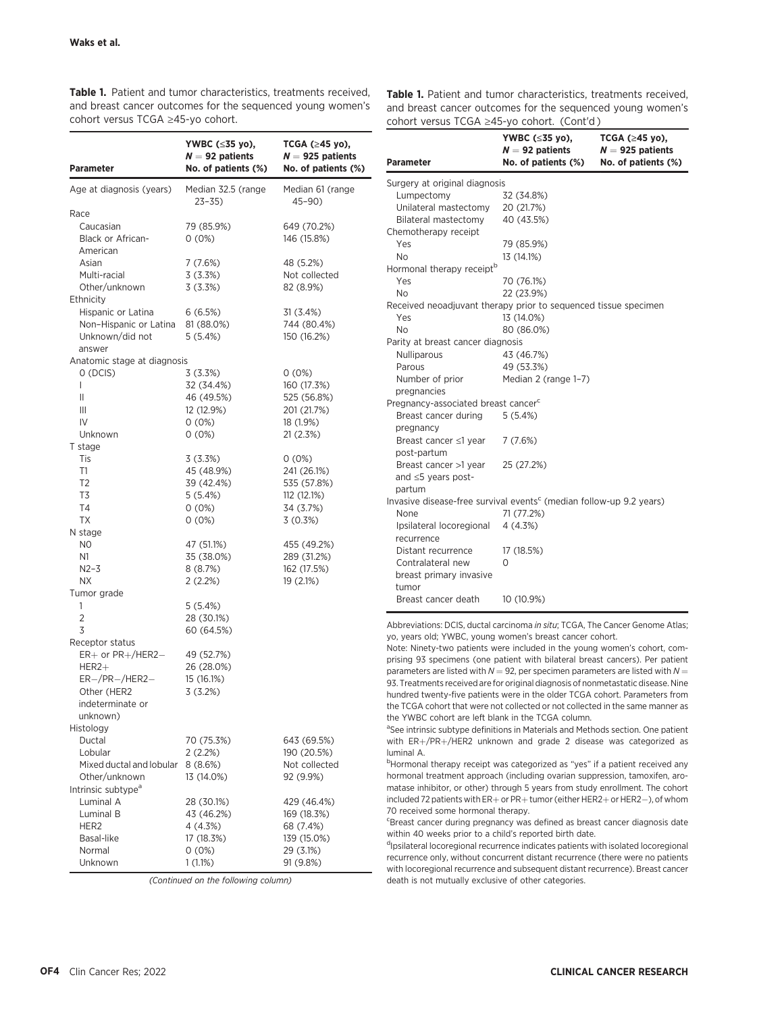Table 1. Patient and tumor characteristics, treatments received, and breast cancer outcomes for the sequenced young women's cohort versus TCGA ≥45-yo cohort.

| Parameter                      | YWBC (≤35 yo),<br>$N = 92$ patients<br>No. of patients (%) | TCGA $(≥45$ yo),<br>$N = 925$ patients<br>No. of patients (%) |
|--------------------------------|------------------------------------------------------------|---------------------------------------------------------------|
| Age at diagnosis (years)       | Median 32.5 (range<br>$23 - 35$                            | Median 61 (range<br>45-90)                                    |
| Race                           |                                                            |                                                               |
| Caucasian                      | 79 (85.9%)                                                 | 649 (70.2%)                                                   |
| Black or African-              | $0(0\%)$                                                   | 146 (15.8%)                                                   |
| American                       |                                                            |                                                               |
| Asian                          | 7 (7.6%)                                                   | 48 (5.2%)                                                     |
| Multi-racial                   | 3(3.3%)                                                    | Not collected                                                 |
| Other/unknown                  | 3(3.3%)                                                    | 82 (8.9%)                                                     |
| Ethnicity                      |                                                            |                                                               |
| Hispanic or Latina             | 6(6.5%)                                                    | 31 (3.4%)                                                     |
| Non-Hispanic or Latina         | 81 (88.0%)                                                 | 744 (80.4%)                                                   |
| Unknown/did not                | 5(5.4%)                                                    | 150 (16.2%)                                                   |
| answer                         |                                                            |                                                               |
| Anatomic stage at diagnosis    |                                                            |                                                               |
| 0 (DCIS)                       | 3(3.3%)                                                    | $0(0\%)$                                                      |
| L                              | 32 (34.4%)                                                 | 160 (17.3%)                                                   |
| Ш                              | 46 (49.5%)                                                 | 525 (56.8%)                                                   |
| Ш                              | 12 (12.9%)                                                 | 201 (21.7%)                                                   |
| IV                             | $0(0\%)$                                                   | 18 (1.9%)                                                     |
| Unknown                        | 0(0%)                                                      | 21 (2.3%)                                                     |
| T stage<br>Tis                 | 3(3.3%)                                                    | $0(0\%)$                                                      |
| T1                             | 45 (48.9%)                                                 | 241 (26.1%)                                                   |
| T <sub>2</sub>                 | 39 (42.4%)                                                 | 535 (57.8%)                                                   |
| T3                             | 5(5.4%)                                                    | 112 (12.1%)                                                   |
| T <sub>4</sub>                 | $0(0\%)$                                                   | 34 (3.7%)                                                     |
| ТX                             | $0(0\%)$                                                   | 3(0.3%)                                                       |
| N stage                        |                                                            |                                                               |
| N <sub>0</sub>                 | 47 (51.1%)                                                 | 455 (49.2%)                                                   |
| N1                             | 35 (38.0%)                                                 | 289 (31.2%)                                                   |
| $N2 - 3$                       | 8 (8.7%)                                                   | 162 (17.5%)                                                   |
| NΧ                             | 2(2.2%)                                                    | 19 (2.1%)                                                     |
| Tumor grade                    |                                                            |                                                               |
| 1                              | 5(5.4%)                                                    |                                                               |
| 2                              | 28 (30.1%)                                                 |                                                               |
| 3                              | 60 (64.5%)                                                 |                                                               |
| Receptor status                |                                                            |                                                               |
| $ER+$ or $PR+/HER2-$           | 49 (52.7%)                                                 |                                                               |
| $HER2+$                        | 26 (28.0%)                                                 |                                                               |
| $ER-/PR-/HER2-$                | 15 (16.1%)                                                 |                                                               |
| Other (HER2                    | 3(3.2%)                                                    |                                                               |
| indeterminate or               |                                                            |                                                               |
| unknown)                       |                                                            |                                                               |
| Histology                      |                                                            |                                                               |
| Ductal                         | 70 (75.3%)                                                 | 643 (69.5%)                                                   |
| Lobular                        | 2(2.2%)                                                    | 190 (20.5%)                                                   |
| Mixed ductal and lobular       | 8(8.6%)                                                    | Not collected                                                 |
| Other/unknown                  | 13 (14.0%)                                                 | 92 (9.9%)                                                     |
| Intrinsic subtype <sup>a</sup> |                                                            |                                                               |
| Luminal A<br>Luminal B         | 28 (30.1%)                                                 | 429 (46.4%)                                                   |
| HER2                           | 43 (46.2%)                                                 | 169 (18.3%)<br>68 (7.4%)                                      |
| Basal-like                     | 4 (4.3%)<br>17 (18.3%)                                     | 139 (15.0%)                                                   |
| Normal                         | $0(0\%)$                                                   | 29 (3.1%)                                                     |
| Unknown                        | 1(1.1%)                                                    | 91 (9.8%)                                                     |

(Continued on the following column)

Table 1. Patient and tumor characteristics, treatments received, and breast cancer outcomes for the sequenced young women's cohort versus TCGA ≥45-yo cohort. (Cont'd )

| <b>Parameter</b>                                                                | YWBC (≤35 yo),<br>$N = 92$ patients<br>No. of patients (%) | TCGA $(≥45$ yo),<br>$N = 925$ patients<br>No. of patients (%) |
|---------------------------------------------------------------------------------|------------------------------------------------------------|---------------------------------------------------------------|
| Surgery at original diagnosis                                                   |                                                            |                                                               |
| Lumpectomy                                                                      | 32 (34.8%)                                                 |                                                               |
| Unilateral mastectomy                                                           | 20 (21.7%)                                                 |                                                               |
| Bilateral mastectomy                                                            | 40 (43.5%)                                                 |                                                               |
| Chemotherapy receipt                                                            |                                                            |                                                               |
| Yes                                                                             | 79 (85.9%)                                                 |                                                               |
| N <sub>o</sub>                                                                  | 13 (14.1%)                                                 |                                                               |
| Hormonal therapy receipt <sup>b</sup>                                           |                                                            |                                                               |
| Yes                                                                             | 70 (76.1%)                                                 |                                                               |
| <b>No</b>                                                                       | 22 (23.9%)                                                 |                                                               |
| Received neoadjuvant therapy prior to sequenced tissue specimen                 |                                                            |                                                               |
| Yes                                                                             | 13 (14.0%)                                                 |                                                               |
| No                                                                              | 80 (86.0%)                                                 |                                                               |
| Parity at breast cancer diagnosis                                               |                                                            |                                                               |
| Nulliparous                                                                     | 43 (46.7%)                                                 |                                                               |
| Parous                                                                          | 49 (53.3%)                                                 |                                                               |
| Number of prior                                                                 | Median 2 (range 1-7)                                       |                                                               |
| pregnancies                                                                     |                                                            |                                                               |
| Pregnancy-associated breast cancer <sup>c</sup>                                 |                                                            |                                                               |
| Breast cancer during                                                            | 5(5.4%)                                                    |                                                               |
| pregnancy                                                                       |                                                            |                                                               |
| Breast cancer ≤1 year                                                           | 7(7.6%)                                                    |                                                               |
| post-partum                                                                     |                                                            |                                                               |
| Breast cancer >1 year                                                           | 25 (27.2%)                                                 |                                                               |
| and $\leq$ 5 years post-                                                        |                                                            |                                                               |
| partum                                                                          |                                                            |                                                               |
| Invasive disease-free survival events <sup>c</sup> (median follow-up 9.2 years) |                                                            |                                                               |
| None                                                                            | 71 (77.2%)                                                 |                                                               |
| Ipsilateral locoregional                                                        | 4(4.3%)                                                    |                                                               |
| recurrence                                                                      |                                                            |                                                               |
| Distant recurrence                                                              | 17 (18.5%)                                                 |                                                               |
| Contralateral new                                                               | 0                                                          |                                                               |
| breast primary invasive<br>tumor                                                |                                                            |                                                               |
| Breast cancer death                                                             | 10 (10.9%)                                                 |                                                               |
|                                                                                 |                                                            |                                                               |

Abbreviations: DCIS, ductal carcinoma in situ; TCGA, The Cancer Genome Atlas; yo, years old; YWBC, young women's breast cancer cohort.

Note: Ninety-two patients were included in the young women's cohort, comprising 93 specimens (one patient with bilateral breast cancers). Per patient parameters are listed with  $N = 92$ , per specimen parameters are listed with  $N =$ 93. Treatments received are for original diagnosis of nonmetastatic disease. Nine hundred twenty-five patients were in the older TCGA cohort. Parameters from the TCGA cohort that were not collected or not collected in the same manner as the YWBC cohort are left blank in the TCGA column.

<sup>a</sup>See intrinsic subtype definitions in Materials and Methods section. One patient with  $ER+/PR+/HER2$  unknown and grade 2 disease was categorized as luminal A.

<sup>b</sup>Hormonal therapy receipt was categorized as "yes" if a patient received any hormonal treatment approach (including ovarian suppression, tamoxifen, aromatase inhibitor, or other) through 5 years from study enrollment. The cohort included 72 patients with  $ER +$  or  $PR +$  tumor (either HER2 $+$  or HER2 $-$ ), of whom 70 received some hormonal therapy.

<sup>c</sup>Breast cancer during pregnancy was defined as breast cancer diagnosis date within 40 weeks prior to a child's reported birth date.

<sup>d</sup>Ipsilateral locoregional recurrence indicates patients with isolated locoregional recurrence only, without concurrent distant recurrence (there were no patients with locoregional recurrence and subsequent distant recurrence). Breast cancer death is not mutually exclusive of other categories.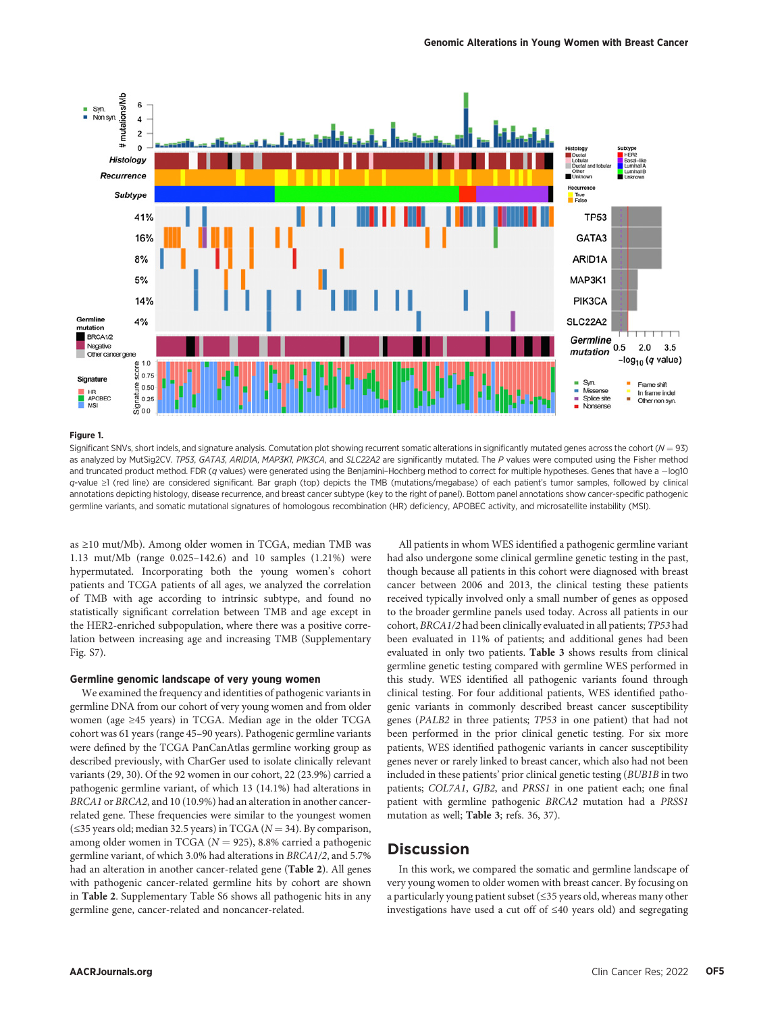

#### Figure 1.

Significant SNVs, short indels, and signature analysis. Comutation plot showing recurrent somatic alterations in significantly mutated genes across the cohort ( $N = 93$ ) as analyzed by MutSig2CV. TP53, GATA3, ARIDIA, MAP3K1, PIK3CA, and SLC22A2 are significantly mutated. The P values were computed using the Fisher method and truncated product method. FDR (q values) were generated using the Benjamini-Hochberg method to correct for multiple hypotheses. Genes that have a -log10 q-value ≥1 (red line) are considered significant. Bar graph (top) depicts the TMB (mutations/megabase) of each patient's tumor samples, followed by clinical annotations depicting histology, disease recurrence, and breast cancer subtype (key to the right of panel). Bottom panel annotations show cancer-specific pathogenic germline variants, and somatic mutational signatures of homologous recombination (HR) deficiency, APOBEC activity, and microsatellite instability (MSI).

as ≥10 mut/Mb). Among older women in TCGA, median TMB was 1.13 mut/Mb (range 0.025–142.6) and 10 samples (1.21%) were hypermutated. Incorporating both the young women's cohort patients and TCGA patients of all ages, we analyzed the correlation of TMB with age according to intrinsic subtype, and found no statistically significant correlation between TMB and age except in the HER2-enriched subpopulation, where there was a positive correlation between increasing age and increasing TMB (Supplementary Fig. S7).

### Germline genomic landscape of very young women

We examined the frequency and identities of pathogenic variants in germline DNA from our cohort of very young women and from older women (age ≥45 years) in TCGA. Median age in the older TCGA cohort was 61 years (range 45–90 years). Pathogenic germline variants were defined by the TCGA PanCanAtlas germline working group as described previously, with CharGer used to isolate clinically relevant variants (29, 30). Of the 92 women in our cohort, 22 (23.9%) carried a pathogenic germline variant, of which 13 (14.1%) had alterations in BRCA1 or BRCA2, and 10 (10.9%) had an alteration in another cancerrelated gene. These frequencies were similar to the youngest women ( $\leq$ 35 years old; median 32.5 years) in TCGA ( $N = 34$ ). By comparison, among older women in TCGA ( $N = 925$ ), 8.8% carried a pathogenic germline variant, of which 3.0% had alterations in BRCA1/2, and 5.7% had an alteration in another cancer-related gene (Table 2). All genes with pathogenic cancer-related germline hits by cohort are shown in Table 2. Supplementary Table S6 shows all pathogenic hits in any germline gene, cancer-related and noncancer-related.

All patients in whom WES identified a pathogenic germline variant had also undergone some clinical germline genetic testing in the past, though because all patients in this cohort were diagnosed with breast cancer between 2006 and 2013, the clinical testing these patients received typically involved only a small number of genes as opposed to the broader germline panels used today. Across all patients in our cohort, BRCA1/2 had been clinically evaluated in all patients; TP53 had been evaluated in 11% of patients; and additional genes had been evaluated in only two patients. Table 3 shows results from clinical germline genetic testing compared with germline WES performed in this study. WES identified all pathogenic variants found through clinical testing. For four additional patients, WES identified pathogenic variants in commonly described breast cancer susceptibility genes (PALB2 in three patients; TP53 in one patient) that had not been performed in the prior clinical genetic testing. For six more patients, WES identified pathogenic variants in cancer susceptibility genes never or rarely linked to breast cancer, which also had not been included in these patients' prior clinical genetic testing (BUB1B in two patients; COL7A1, GJB2, and PRSS1 in one patient each; one final patient with germline pathogenic BRCA2 mutation had a PRSS1 mutation as well; Table 3; refs. 36, 37).

# **Discussion**

In this work, we compared the somatic and germline landscape of very young women to older women with breast cancer. By focusing on a particularly young patient subset (≤35 years old, whereas many other investigations have used a cut off of ≤40 years old) and segregating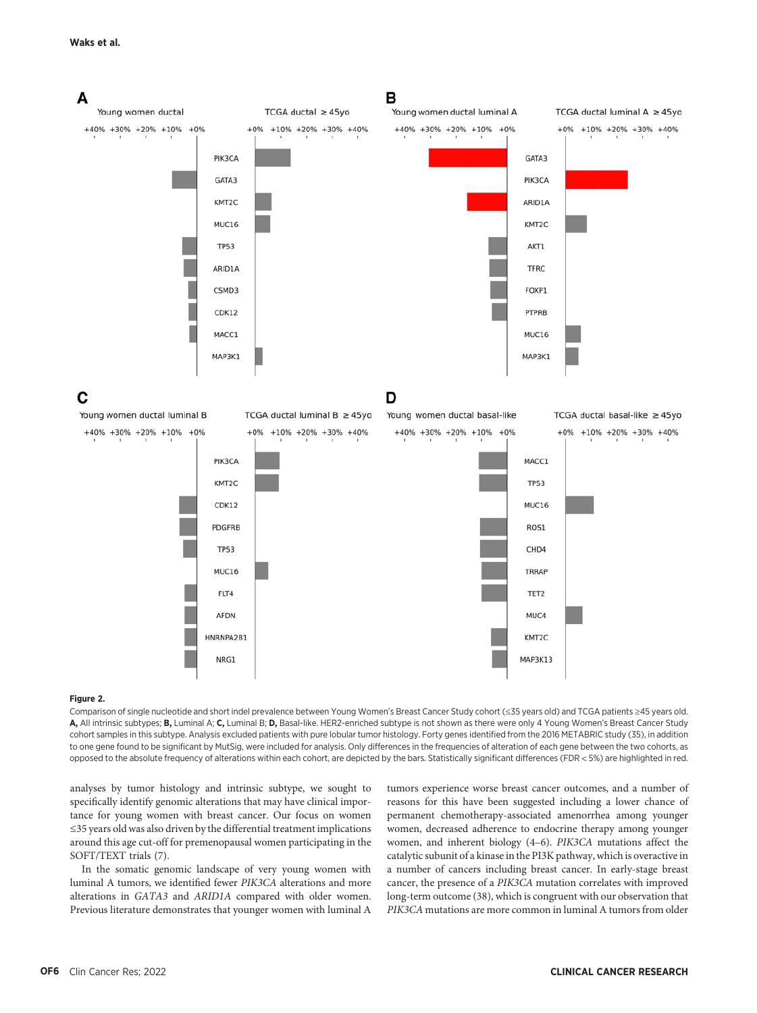

#### Figure 2.

Comparison of single nucleotide and short indel prevalence between Young Women's Breast Cancer Study cohort (≤35 years old) and TCGA patients ≥45 years old. A, All intrinsic subtypes; B, Luminal A; C, Luminal B; D, Basal-like. HER2-enriched subtype is not shown as there were only 4 Young Women's Breast Cancer Study cohort samples in this subtype. Analysis excluded patients with pure lobular tumor histology. Forty genes identified from the 2016 METABRIC study (35), in addition to one gene found to be significant by MutSig, were included for analysis. Only differences in the frequencies of alteration of each gene between the two cohorts, as opposed to the absolute frequency of alterations within each cohort, are depicted by the bars. Statistically significant differences (FDR < 5%) are highlighted in red.

analyses by tumor histology and intrinsic subtype, we sought to specifically identify genomic alterations that may have clinical importance for young women with breast cancer. Our focus on women ≤35 years old was also driven by the differential treatment implications around this age cut-off for premenopausal women participating in the SOFT/TEXT trials (7).

In the somatic genomic landscape of very young women with luminal A tumors, we identified fewer PIK3CA alterations and more alterations in GATA3 and ARID1A compared with older women. Previous literature demonstrates that younger women with luminal A

tumors experience worse breast cancer outcomes, and a number of reasons for this have been suggested including a lower chance of permanent chemotherapy-associated amenorrhea among younger women, decreased adherence to endocrine therapy among younger women, and inherent biology (4–6). PIK3CA mutations affect the catalytic subunit of a kinase in the PI3K pathway, which is overactive in a number of cancers including breast cancer. In early-stage breast cancer, the presence of a PIK3CA mutation correlates with improved long-term outcome (38), which is congruent with our observation that PIK3CA mutations are more common in luminal A tumors from older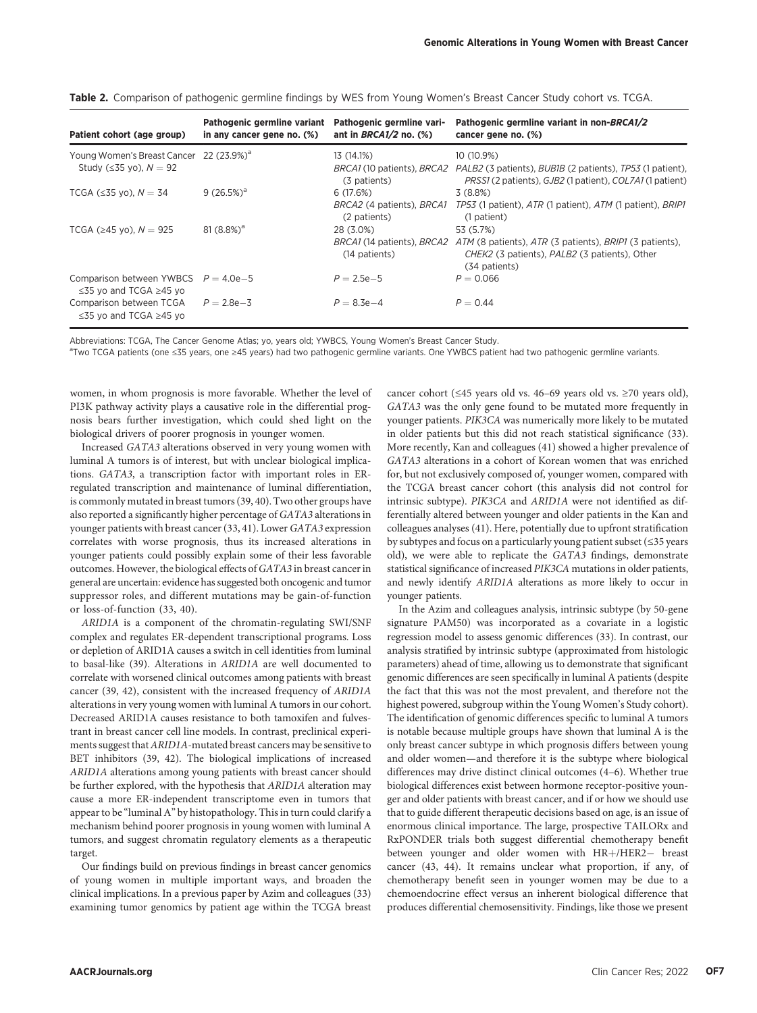| Patient cohort (age group)                                                             | Pathogenic germline variant<br>in any cancer gene no. (%) | Pathogenic germline vari-<br>ant in $BRCA1/2$ no. $(\%)$ | Pathogenic germline variant in non-BRCA1/2<br>cancer gene no. (%)                                                                                                                   |
|----------------------------------------------------------------------------------------|-----------------------------------------------------------|----------------------------------------------------------|-------------------------------------------------------------------------------------------------------------------------------------------------------------------------------------|
| Young Women's Breast Cancer 22 (23.9%) <sup>a</sup><br>Study ( $\leq$ 35 vo). $N = 92$ |                                                           | 13 (14.1%)<br>(3 patients)                               | 10 (10.9%)<br>BRCA1 (10 patients), BRCA2 PALB2 (3 patients), BUBIB (2 patients), TP53 (1 patient),<br><i>PRSS1</i> (2 patients), <i>GJB2</i> (1 patient), <i>COL7A1</i> (1 patient) |
| TCGA ( $\leq$ 35 yo), $N = 34$                                                         | $9(26.5\%)^a$                                             | 6 (17.6%)<br>BRCA2 (4 patients), BRCA1<br>(2 patients)   | 3(8.8%)<br>TP53 (1 patient), ATR (1 patient), ATM (1 patient), BRIP1<br>(1 patient)                                                                                                 |
| TCGA ( $\geq$ 45 yo), $N = 925$                                                        | $81(8.8\%)^a$                                             | 28 (3.0%)<br>(14 patients)                               | 53 (5.7%)<br>BRCA1 (14 patients), BRCA2 ATM (8 patients), ATR (3 patients), BRIP1 (3 patients),<br>CHEK2 (3 patients), PALB2 (3 patients), Other<br>(34 patients)                   |
| Comparison between YWBCS $P = 4.0e-5$<br>$\leq$ 35 yo and TCGA $\geq$ 45 yo            |                                                           | $P = 2.5e-5$                                             | $P = 0.066$                                                                                                                                                                         |
| Comparison between TCGA<br>$\leq$ 35 vo and TCGA $\geq$ 45 vo                          | $P = 2.8e - 3$                                            | $P = 8.3e - 4$                                           | $P = 0.44$                                                                                                                                                                          |

Table 2. Comparison of pathogenic germline findings by WES from Young Women's Breast Cancer Study cohort vs. TCGA.

Abbreviations: TCGA, The Cancer Genome Atlas; yo, years old; YWBCS, Young Women's Breast Cancer Study.

aTwo TCGA patients (one ≤35 years, one ≥45 years) had two pathogenic germline variants. One YWBCS patient had two pathogenic germline variants.

women, in whom prognosis is more favorable. Whether the level of PI3K pathway activity plays a causative role in the differential prognosis bears further investigation, which could shed light on the biological drivers of poorer prognosis in younger women.

Increased GATA3 alterations observed in very young women with luminal A tumors is of interest, but with unclear biological implications. GATA3, a transcription factor with important roles in ERregulated transcription and maintenance of luminal differentiation, is commonly mutated in breast tumors (39, 40). Two other groups have also reported a significantly higher percentage of GATA3 alterations in younger patients with breast cancer (33, 41). Lower GATA3 expression correlates with worse prognosis, thus its increased alterations in younger patients could possibly explain some of their less favorable outcomes. However, the biological effects of GATA3 in breast cancer in general are uncertain: evidence has suggested both oncogenic and tumor suppressor roles, and different mutations may be gain-of-function or loss-of-function (33, 40).

ARID1A is a component of the chromatin-regulating SWI/SNF complex and regulates ER-dependent transcriptional programs. Loss or depletion of ARID1A causes a switch in cell identities from luminal to basal-like (39). Alterations in ARID1A are well documented to correlate with worsened clinical outcomes among patients with breast cancer (39, 42), consistent with the increased frequency of ARID1A alterations in very young women with luminal A tumors in our cohort. Decreased ARID1A causes resistance to both tamoxifen and fulvestrant in breast cancer cell line models. In contrast, preclinical experiments suggest that ARID1A-mutated breast cancers may be sensitive to BET inhibitors (39, 42). The biological implications of increased ARID1A alterations among young patients with breast cancer should be further explored, with the hypothesis that ARID1A alteration may cause a more ER-independent transcriptome even in tumors that appear to be "luminal A" by histopathology. This in turn could clarify a mechanism behind poorer prognosis in young women with luminal A tumors, and suggest chromatin regulatory elements as a therapeutic target.

Our findings build on previous findings in breast cancer genomics of young women in multiple important ways, and broaden the clinical implications. In a previous paper by Azim and colleagues (33) examining tumor genomics by patient age within the TCGA breast

cancer cohort (≤45 years old vs. 46–69 years old vs. ≥70 years old), GATA3 was the only gene found to be mutated more frequently in younger patients. PIK3CA was numerically more likely to be mutated in older patients but this did not reach statistical significance (33). More recently, Kan and colleagues (41) showed a higher prevalence of GATA3 alterations in a cohort of Korean women that was enriched for, but not exclusively composed of, younger women, compared with the TCGA breast cancer cohort (this analysis did not control for intrinsic subtype). PIK3CA and ARID1A were not identified as differentially altered between younger and older patients in the Kan and colleagues analyses (41). Here, potentially due to upfront stratification by subtypes and focus on a particularly young patient subset (≤35 years old), we were able to replicate the GATA3 findings, demonstrate statistical significance of increased PIK3CA mutations in older patients, and newly identify ARID1A alterations as more likely to occur in younger patients.

In the Azim and colleagues analysis, intrinsic subtype (by 50-gene signature PAM50) was incorporated as a covariate in a logistic regression model to assess genomic differences (33). In contrast, our analysis stratified by intrinsic subtype (approximated from histologic parameters) ahead of time, allowing us to demonstrate that significant genomic differences are seen specifically in luminal A patients (despite the fact that this was not the most prevalent, and therefore not the highest powered, subgroup within the Young Women's Study cohort). The identification of genomic differences specific to luminal A tumors is notable because multiple groups have shown that luminal A is the only breast cancer subtype in which prognosis differs between young and older women—and therefore it is the subtype where biological differences may drive distinct clinical outcomes (4–6). Whether true biological differences exist between hormone receptor-positive younger and older patients with breast cancer, and if or how we should use that to guide different therapeutic decisions based on age, is an issue of enormous clinical importance. The large, prospective TAILORx and RxPONDER trials both suggest differential chemotherapy benefit between younger and older women with HR+/HER2- breast cancer (43, 44). It remains unclear what proportion, if any, of chemotherapy benefit seen in younger women may be due to a chemoendocrine effect versus an inherent biological difference that produces differential chemosensitivity. Findings, like those we present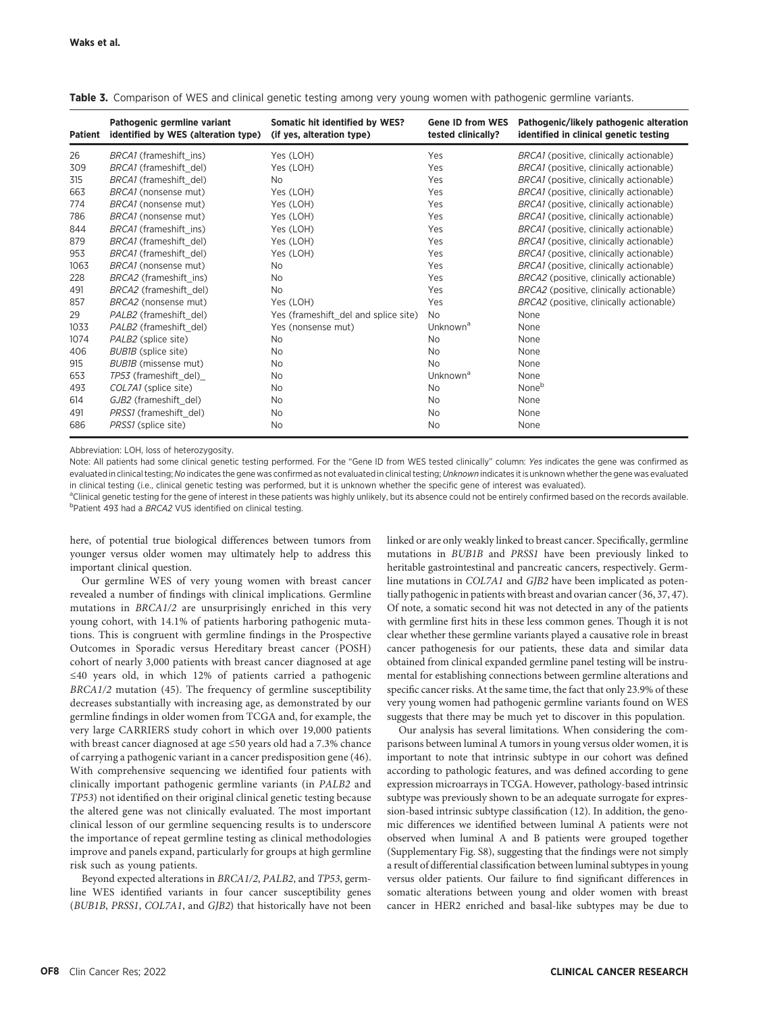| <b>Patient</b> | Pathogenic germline variant<br>identified by WES (alteration type) | Somatic hit identified by WES?<br>(if yes, alteration type) | <b>Gene ID from WES</b><br>tested clinically? | Pathogenic/likely pathogenic alteration<br>identified in clinical genetic testing |
|----------------|--------------------------------------------------------------------|-------------------------------------------------------------|-----------------------------------------------|-----------------------------------------------------------------------------------|
| 26             | BRCA1 (frameshift ins)                                             | Yes (LOH)                                                   | Yes                                           | BRCA1 (positive, clinically actionable)                                           |
| 309            | BRCA1 (frameshift del)                                             | Yes (LOH)                                                   | Yes                                           | BRCA1 (positive, clinically actionable)                                           |
| 315            | BRCA1 (frameshift del)                                             | No.                                                         | Yes                                           | BRCA1 (positive, clinically actionable)                                           |
| 663            | BRCA1 (nonsense mut)                                               | Yes (LOH)                                                   | Yes                                           | BRCA1 (positive, clinically actionable)                                           |
| 774            | BRCA1 (nonsense mut)                                               | Yes (LOH)                                                   | Yes                                           | BRCA1 (positive, clinically actionable)                                           |
| 786            | BRCA1 (nonsense mut)                                               | Yes (LOH)                                                   | Yes                                           | BRCA1 (positive, clinically actionable)                                           |
| 844            | BRCA1 (frameshift ins)                                             | Yes (LOH)                                                   | Yes                                           | BRCA1 (positive, clinically actionable)                                           |
| 879            | BRCA1 (frameshift del)                                             | Yes (LOH)                                                   | Yes                                           | BRCA1 (positive, clinically actionable)                                           |
| 953            | BRCA1 (frameshift del)                                             | Yes (LOH)                                                   | Yes                                           | BRCA1 (positive, clinically actionable)                                           |
| 1063           | BRCA1 (nonsense mut)                                               | No.                                                         | Yes                                           | BRCA1 (positive, clinically actionable)                                           |
| 228            | BRCA2 (frameshift ins)                                             | No.                                                         | Yes                                           | BRCA2 (positive, clinically actionable)                                           |
| 491            | BRCA2 (frameshift del)                                             | No.                                                         | Yes                                           | BRCA2 (positive, clinically actionable)                                           |
| 857            | BRCA2 (nonsense mut)                                               | Yes (LOH)                                                   | Yes                                           | BRCA2 (positive, clinically actionable)                                           |
| 29             | PALB2 (frameshift del)                                             | Yes (frameshift del and splice site)                        | <b>No</b>                                     | None                                                                              |
| 1033           | PALB2 (frameshift del)                                             | Yes (nonsense mut)                                          | Unknown <sup>a</sup>                          | None                                                                              |
| 1074           | PALB2 (splice site)                                                | No                                                          | No.                                           | None                                                                              |
| 406            | BUB1B (splice site)                                                | No                                                          | <b>No</b>                                     | None                                                                              |
| 915            | BUB1B (missense mut)                                               | No                                                          | <b>No</b>                                     | None                                                                              |
| 653            | TP53 (frameshift_del)_                                             | No                                                          | Unknown <sup>a</sup>                          | None                                                                              |
| 493            | COL7A1 (splice site)                                               | No                                                          | <b>No</b>                                     | None <sup>b</sup>                                                                 |
| 614            | GJB2 (frameshift del)                                              | No.                                                         | No.                                           | None                                                                              |
| 491            | PRSS1 (frameshift del)                                             | No.                                                         | <b>No</b>                                     | None                                                                              |
| 686            | PRSS1 (splice site)                                                | No                                                          | No                                            | None                                                                              |

Table 3. Comparison of WES and clinical genetic testing among very young women with pathogenic germline variants.

Abbreviation: LOH, loss of heterozygosity.

Note: All patients had some clinical genetic testing performed. For the "Gene ID from WES tested clinically" column: Yes indicates the gene was confirmed as evaluated in clinical testing; No indicates the gene was confirmed as not evaluated in clinical testing; Unknown indicates it is unknown whether the gene was evaluated in clinical testing (i.e., clinical genetic testing was performed, but it is unknown whether the specific gene of interest was evaluated).

<sup>a</sup>Clinical genetic testing for the gene of interest in these patients was highly unlikely, but its absence could not be entirely confirmed based on the records available. <sup>b</sup>Patient 493 had a BRCA2 VUS identified on clinical testing.

here, of potential true biological differences between tumors from younger versus older women may ultimately help to address this important clinical question.

Our germline WES of very young women with breast cancer revealed a number of findings with clinical implications. Germline mutations in BRCA1/2 are unsurprisingly enriched in this very young cohort, with 14.1% of patients harboring pathogenic mutations. This is congruent with germline findings in the Prospective Outcomes in Sporadic versus Hereditary breast cancer (POSH) cohort of nearly 3,000 patients with breast cancer diagnosed at age ≤40 years old, in which 12% of patients carried a pathogenic BRCA1/2 mutation (45). The frequency of germline susceptibility decreases substantially with increasing age, as demonstrated by our germline findings in older women from TCGA and, for example, the very large CARRIERS study cohort in which over 19,000 patients with breast cancer diagnosed at age ≤50 years old had a 7.3% chance of carrying a pathogenic variant in a cancer predisposition gene (46). With comprehensive sequencing we identified four patients with clinically important pathogenic germline variants (in PALB2 and TP53) not identified on their original clinical genetic testing because the altered gene was not clinically evaluated. The most important clinical lesson of our germline sequencing results is to underscore the importance of repeat germline testing as clinical methodologies improve and panels expand, particularly for groups at high germline risk such as young patients.

Beyond expected alterations in BRCA1/2, PALB2, and TP53, germline WES identified variants in four cancer susceptibility genes (BUB1B, PRSS1, COL7A1, and GJB2) that historically have not been linked or are only weakly linked to breast cancer. Specifically, germline mutations in BUB1B and PRSS1 have been previously linked to heritable gastrointestinal and pancreatic cancers, respectively. Germline mutations in COL7A1 and GJB2 have been implicated as potentially pathogenic in patients with breast and ovarian cancer (36, 37, 47). Of note, a somatic second hit was not detected in any of the patients with germline first hits in these less common genes. Though it is not clear whether these germline variants played a causative role in breast cancer pathogenesis for our patients, these data and similar data obtained from clinical expanded germline panel testing will be instrumental for establishing connections between germline alterations and specific cancer risks. At the same time, the fact that only 23.9% of these very young women had pathogenic germline variants found on WES suggests that there may be much yet to discover in this population.

Our analysis has several limitations. When considering the comparisons between luminal A tumors in young versus older women, it is important to note that intrinsic subtype in our cohort was defined according to pathologic features, and was defined according to gene expression microarrays in TCGA. However, pathology-based intrinsic subtype was previously shown to be an adequate surrogate for expression-based intrinsic subtype classification (12). In addition, the genomic differences we identified between luminal A patients were not observed when luminal A and B patients were grouped together (Supplementary Fig. S8), suggesting that the findings were not simply a result of differential classification between luminal subtypes in young versus older patients. Our failure to find significant differences in somatic alterations between young and older women with breast cancer in HER2 enriched and basal-like subtypes may be due to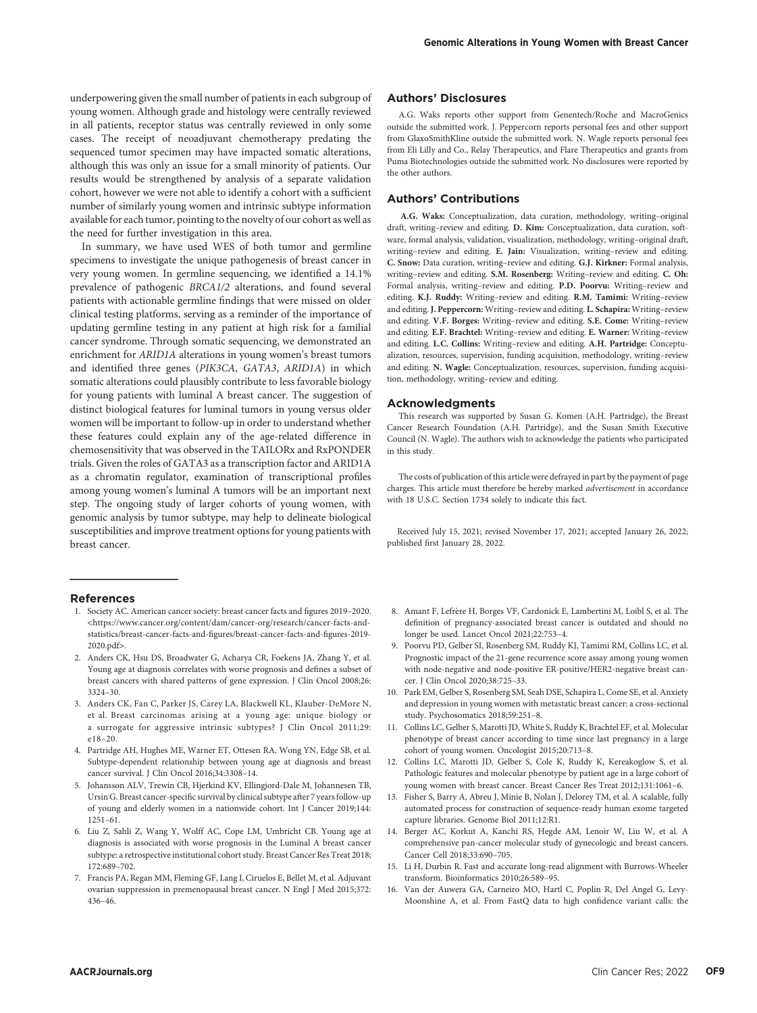underpowering given the small number of patients in each subgroup of young women. Although grade and histology were centrally reviewed in all patients, receptor status was centrally reviewed in only some cases. The receipt of neoadjuvant chemotherapy predating the sequenced tumor specimen may have impacted somatic alterations, although this was only an issue for a small minority of patients. Our results would be strengthened by analysis of a separate validation cohort, however we were not able to identify a cohort with a sufficient number of similarly young women and intrinsic subtype information available for each tumor, pointing to the novelty of our cohort as well as the need for further investigation in this area.

In summary, we have used WES of both tumor and germline specimens to investigate the unique pathogenesis of breast cancer in very young women. In germline sequencing, we identified a 14.1% prevalence of pathogenic BRCA1/2 alterations, and found several patients with actionable germline findings that were missed on older clinical testing platforms, serving as a reminder of the importance of updating germline testing in any patient at high risk for a familial cancer syndrome. Through somatic sequencing, we demonstrated an enrichment for ARID1A alterations in young women's breast tumors and identified three genes (PIK3CA, GATA3, ARID1A) in which somatic alterations could plausibly contribute to less favorable biology for young patients with luminal A breast cancer. The suggestion of distinct biological features for luminal tumors in young versus older women will be important to follow-up in order to understand whether these features could explain any of the age-related difference in chemosensitivity that was observed in the TAILORx and RxPONDER trials. Given the roles of GATA3 as a transcription factor and ARID1A as a chromatin regulator, examination of transcriptional profiles among young women's luminal A tumors will be an important next step. The ongoing study of larger cohorts of young women, with genomic analysis by tumor subtype, may help to delineate biological susceptibilities and improve treatment options for young patients with breast cancer.

#### References

- 1. Society AC. American cancer society: breast cancer facts and figures 2019–2020. <[https://www.cancer.org/content/dam/cancer-org/research/cancer-facts-and](https://www.cancer.org/content/dam/cancer-org/research/cancer-facts-and-statistics/breast-cancer-facts-and-figures/breast-cancer-facts-and-figures-2019-2020.pdf)[statistics/breast-cancer-facts-and-](https://www.cancer.org/content/dam/cancer-org/research/cancer-facts-and-statistics/breast-cancer-facts-and-figures/breast-cancer-facts-and-figures-2019-2020.pdf)figures/breast-cancer-facts-and-figures-2019- [2020.pdf](https://www.cancer.org/content/dam/cancer-org/research/cancer-facts-and-statistics/breast-cancer-facts-and-figures/breast-cancer-facts-and-figures-2019-2020.pdf)>.
- 2. Anders CK, Hsu DS, Broadwater G, Acharya CR, Foekens JA, Zhang Y, et al. Young age at diagnosis correlates with worse prognosis and defines a subset of breast cancers with shared patterns of gene expression. J Clin Oncol 2008;26: 3324–30.
- 3. Anders CK, Fan C, Parker JS, Carey LA, Blackwell KL, Klauber-DeMore N, et al. Breast carcinomas arising at a young age: unique biology or a surrogate for aggressive intrinsic subtypes? J Clin Oncol 2011;29: e18–20.
- 4. Partridge AH, Hughes ME, Warner ET, Ottesen RA, Wong YN, Edge SB, et al. Subtype-dependent relationship between young age at diagnosis and breast cancer survival. J Clin Oncol 2016;34:3308–14.
- 5. Johansson ALV, Trewin CB, Hjerkind KV, Ellingjord-Dale M, Johannesen TB, Ursin G. Breast cancer-specific survival by clinical subtype after 7 years follow-up of young and elderly women in a nationwide cohort. Int J Cancer 2019;144: 1251–61.
- 6. Liu Z, Sahli Z, Wang Y, Wolff AC, Cope LM, Umbricht CB. Young age at diagnosis is associated with worse prognosis in the Luminal A breast cancer subtype: a retrospective institutional cohort study. Breast Cancer Res Treat 2018; 172:689–702.
- 7. Francis PA, Regan MM, Fleming GF, Lang I, Ciruelos E, Bellet M, et al. Adjuvant ovarian suppression in premenopausal breast cancer. N Engl J Med 2015;372: 436–46.

# Authors' Disclosures

A.G. Waks reports other support from Genentech/Roche and MacroGenics outside the submitted work. J. Peppercorn reports personal fees and other support from GlaxoSmithKline outside the submitted work. N. Wagle reports personal fees from Eli Lilly and Co., Relay Therapeutics, and Flare Therapeutics and grants from Puma Biotechnologies outside the submitted work. No disclosures were reported by the other authors.

#### Authors' Contributions

A.G. Waks: Conceptualization, data curation, methodology, writing–original draft, writing–review and editing. D. Kim: Conceptualization, data curation, software, formal analysis, validation, visualization, methodology, writing–original draft, writing–review and editing. E. Jain: Visualization, writing–review and editing. C. Snow: Data curation, writing–review and editing. G.J. Kirkner: Formal analysis, writing–review and editing. S.M. Rosenberg: Writing–review and editing. C. Oh: Formal analysis, writing–review and editing. P.D. Poorvu: Writing–review and editing. K.J. Ruddy: Writing–review and editing. R.M. Tamimi: Writing–review and editing.J. Peppercorn: Writing–review and editing. L. Schapira: Writing–review and editing. V.F. Borges: Writing–review and editing. S.E. Come: Writing–review and editing. E.F. Brachtel: Writing–review and editing. E. Warner: Writing–review and editing. L.C. Collins: Writing–review and editing. A.H. Partridge: Conceptualization, resources, supervision, funding acquisition, methodology, writing–review and editing. N. Wagle: Conceptualization, resources, supervision, funding acquisition, methodology, writing–review and editing.

#### Acknowledgments

This research was supported by Susan G. Komen (A.H. Partridge), the Breast Cancer Research Foundation (A.H. Partridge), and the Susan Smith Executive Council (N. Wagle). The authors wish to acknowledge the patients who participated in this study.

The costs of publication of this article were defrayed in part by the payment of page charges. This article must therefore be hereby marked advertisement in accordance with 18 U.S.C. Section 1734 solely to indicate this fact.

Received July 15, 2021; revised November 17, 2021; accepted January 26, 2022; published first January 28, 2022.

- 8. Amant F, Lefrère H, Borges VF, Cardonick E, Lambertini M, Loibl S, et al. The definition of pregnancy-associated breast cancer is outdated and should no longer be used. Lancet Oncol 2021;22:753–4.
- 9. Poorvu PD, Gelber SI, Rosenberg SM, Ruddy KJ, Tamimi RM, Collins LC, et al. Prognostic impact of the 21-gene recurrence score assay among young women with node-negative and node-positive ER-positive/HER2-negative breast cancer. J Clin Oncol 2020;38:725–33.
- 10. Park EM, Gelber S, Rosenberg SM, Seah DSE, Schapira L, Come SE, et al. Anxiety and depression in young women with metastatic breast cancer: a cross-sectional study. Psychosomatics 2018;59:251–8.
- 11. Collins LC, Gelber S, Marotti JD, White S, Ruddy K, Brachtel EF, et al. Molecular phenotype of breast cancer according to time since last pregnancy in a large cohort of young women. Oncologist 2015;20:713–8.
- 12. Collins LC, Marotti JD, Gelber S, Cole K, Ruddy K, Kereakoglow S, et al. Pathologic features and molecular phenotype by patient age in a large cohort of young women with breast cancer. Breast Cancer Res Treat 2012;131:1061–6.
- 13. Fisher S, Barry A, Abreu J, Minie B, Nolan J, Delorey TM, et al. A scalable, fully automated process for construction of sequence-ready human exome targeted capture libraries. Genome Biol 2011;12:R1.
- 14. Berger AC, Korkut A, Kanchi RS, Hegde AM, Lenoir W, Liu W, et al. A comprehensive pan-cancer molecular study of gynecologic and breast cancers. Cancer Cell 2018;33:690–705.
- 15. Li H, Durbin R. Fast and accurate long-read alignment with Burrows-Wheeler transform. Bioinformatics 2010;26:589–95.
- 16. Van der Auwera GA, Carneiro MO, Hartl C, Poplin R, Del Angel G, Levy-Moonshine A, et al. From FastQ data to high confidence variant calls: the